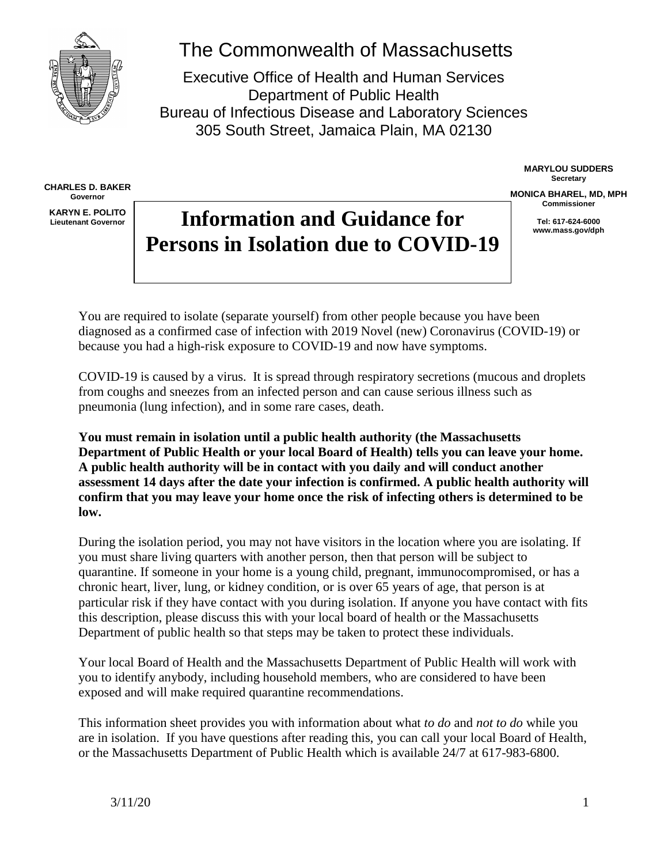

**CHARLES D. BAKER Governor KARYN E. POLITO Lieutenant Governor**

# The Commonwealth of Massachusetts

Executive Office of Health and Human Services Department of Public Health Bureau of Infectious Disease and Laboratory Sciences 305 South Street, Jamaica Plain, MA 02130

> **MARYLOU SUDDERS Secretary**

**MONICA BHAREL, MD, MPH Commissioner**

> **Tel: 617-624-6000 www.mass.gov/dph**

# **Information and Guidance for Persons in Isolation due to COVID-19**

You are required to isolate (separate yourself) from other people because you have been diagnosed as a confirmed case of infection with 2019 Novel (new) Coronavirus (COVID-19) or because you had a high-risk exposure to COVID-19 and now have symptoms.

COVID-19 is caused by a virus. It is spread through respiratory secretions (mucous and droplets from coughs and sneezes from an infected person and can cause serious illness such as pneumonia (lung infection), and in some rare cases, death.

**You must remain in isolation until a public health authority (the Massachusetts Department of Public Health or your local Board of Health) tells you can leave your home. A public health authority will be in contact with you daily and will conduct another assessment 14 days after the date your infection is confirmed. A public health authority will confirm that you may leave your home once the risk of infecting others is determined to be low.** 

During the isolation period, you may not have visitors in the location where you are isolating. If you must share living quarters with another person, then that person will be subject to quarantine. If someone in your home is a young child, pregnant, immunocompromised, or has a chronic heart, liver, lung, or kidney condition, or is over 65 years of age, that person is at particular risk if they have contact with you during isolation. If anyone you have contact with fits this description, please discuss this with your local board of health or the Massachusetts Department of public health so that steps may be taken to protect these individuals.

Your local Board of Health and the Massachusetts Department of Public Health will work with you to identify anybody, including household members, who are considered to have been exposed and will make required quarantine recommendations.

This information sheet provides you with information about what *to do* and *not to do* while you are in isolation. If you have questions after reading this, you can call your local Board of Health, or the Massachusetts Department of Public Health which is available 24/7 at 617-983-6800.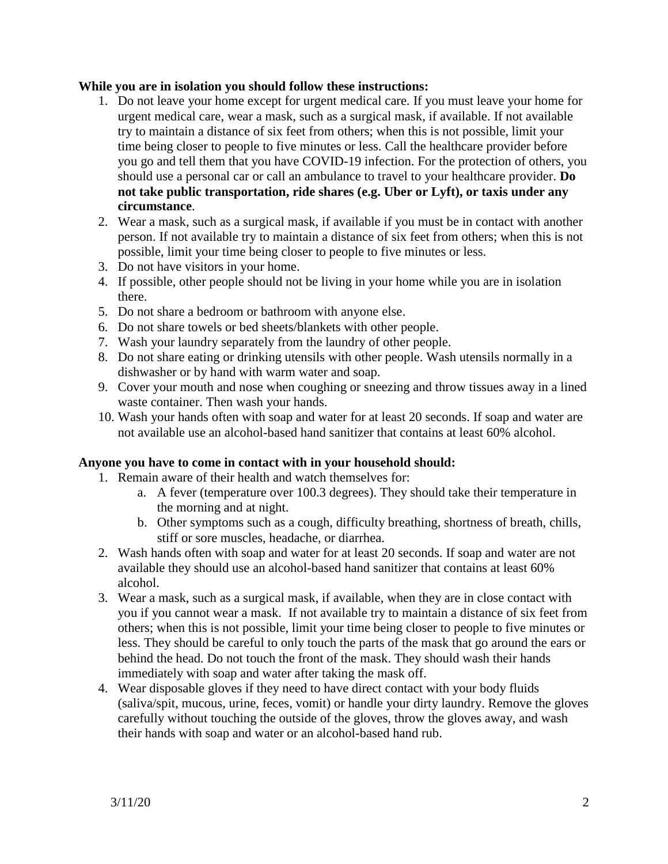#### **While you are in isolation you should follow these instructions:**

- 1. Do not leave your home except for urgent medical care. If you must leave your home for urgent medical care, wear a mask, such as a surgical mask, if available. If not available try to maintain a distance of six feet from others; when this is not possible, limit your time being closer to people to five minutes or less. Call the healthcare provider before you go and tell them that you have COVID-19 infection. For the protection of others, you should use a personal car or call an ambulance to travel to your healthcare provider. **Do not take public transportation, ride shares (e.g. Uber or Lyft), or taxis under any circumstance**.
- 2. Wear a mask, such as a surgical mask, if available if you must be in contact with another person. If not available try to maintain a distance of six feet from others; when this is not possible, limit your time being closer to people to five minutes or less.
- 3. Do not have visitors in your home.
- 4. If possible, other people should not be living in your home while you are in isolation there.
- 5. Do not share a bedroom or bathroom with anyone else.
- 6. Do not share towels or bed sheets/blankets with other people.
- 7. Wash your laundry separately from the laundry of other people.
- 8. Do not share eating or drinking utensils with other people. Wash utensils normally in a dishwasher or by hand with warm water and soap.
- 9. Cover your mouth and nose when coughing or sneezing and throw tissues away in a lined waste container. Then wash your hands.
- 10. Wash your hands often with soap and water for at least 20 seconds. If soap and water are not available use an alcohol-based hand sanitizer that contains at least 60% alcohol.

#### **Anyone you have to come in contact with in your household should:**

- 1. Remain aware of their health and watch themselves for:
	- a. A fever (temperature over 100.3 degrees). They should take their temperature in the morning and at night.
	- b. Other symptoms such as a cough, difficulty breathing, shortness of breath, chills, stiff or sore muscles, headache, or diarrhea.
- 2. Wash hands often with soap and water for at least 20 seconds. If soap and water are not available they should use an alcohol-based hand sanitizer that contains at least 60% alcohol.
- 3. Wear a mask, such as a surgical mask, if available, when they are in close contact with you if you cannot wear a mask. If not available try to maintain a distance of six feet from others; when this is not possible, limit your time being closer to people to five minutes or less. They should be careful to only touch the parts of the mask that go around the ears or behind the head. Do not touch the front of the mask. They should wash their hands immediately with soap and water after taking the mask off.
- 4. Wear disposable gloves if they need to have direct contact with your body fluids (saliva/spit, mucous, urine, feces, vomit) or handle your dirty laundry. Remove the gloves carefully without touching the outside of the gloves, throw the gloves away, and wash their hands with soap and water or an alcohol-based hand rub.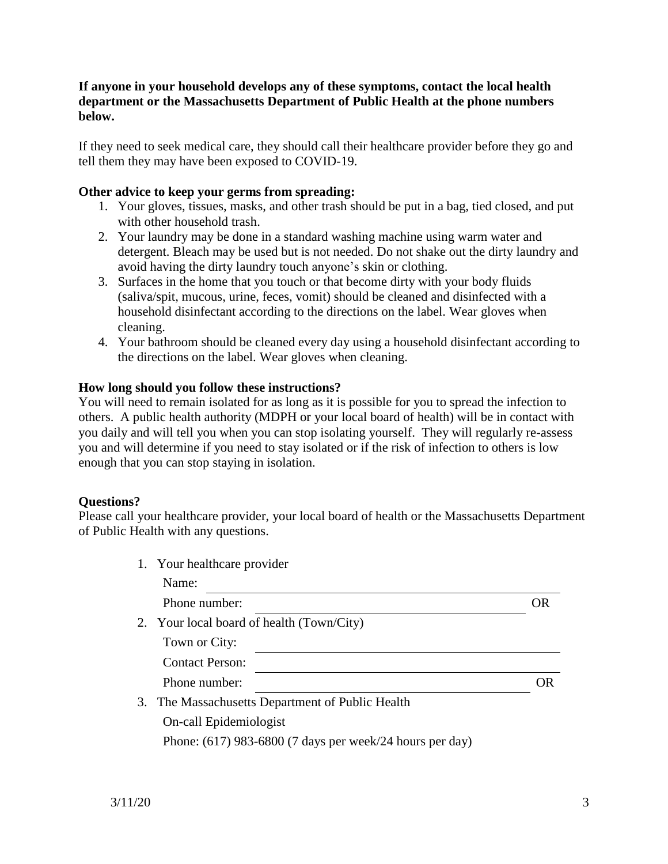### **If anyone in your household develops any of these symptoms, contact the local health department or the Massachusetts Department of Public Health at the phone numbers below.**

If they need to seek medical care, they should call their healthcare provider before they go and tell them they may have been exposed to COVID-19.

## **Other advice to keep your germs from spreading:**

- 1. Your gloves, tissues, masks, and other trash should be put in a bag, tied closed, and put with other household trash.
- 2. Your laundry may be done in a standard washing machine using warm water and detergent. Bleach may be used but is not needed. Do not shake out the dirty laundry and avoid having the dirty laundry touch anyone's skin or clothing.
- 3. Surfaces in the home that you touch or that become dirty with your body fluids (saliva/spit, mucous, urine, feces, vomit) should be cleaned and disinfected with a household disinfectant according to the directions on the label. Wear gloves when cleaning.
- 4. Your bathroom should be cleaned every day using a household disinfectant according to the directions on the label. Wear gloves when cleaning.

### **How long should you follow these instructions?**

You will need to remain isolated for as long as it is possible for you to spread the infection to others. A public health authority (MDPH or your local board of health) will be in contact with you daily and will tell you when you can stop isolating yourself. They will regularly re-assess you and will determine if you need to stay isolated or if the risk of infection to others is low enough that you can stop staying in isolation.

## **Questions?**

Please call your healthcare provider, your local board of health or the Massachusetts Department of Public Health with any questions.

| 1. Your healthcare provider                                |     |
|------------------------------------------------------------|-----|
| Name:                                                      |     |
| Phone number:                                              | OR) |
| 2. Your local board of health (Town/City)                  |     |
| Town or City:                                              |     |
| <b>Contact Person:</b>                                     |     |
| Phone number:                                              |     |
| 3. The Massachusetts Department of Public Health           |     |
| On-call Epidemiologist                                     |     |
| Phone: $(617)$ 983-6800 (7 days per week/24 hours per day) |     |